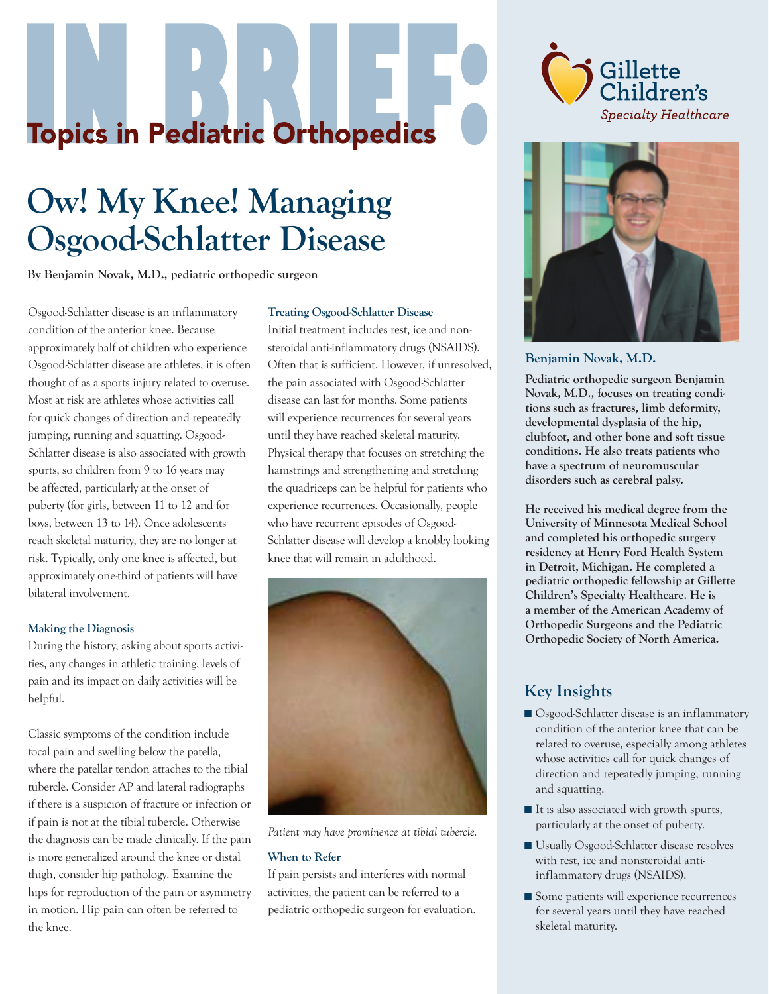# **Topics in Pediatric Orthopedics**

# **Ow! My Knee! Managing Osgood-Schlatter Disease**

**By Benjamin Novak, M.D., pediatric orthopedic surgeon**

Osgood-Schlatter disease is an inflammatory condition of the anterior knee. Because approximately half of children who experience Osgood-Schlatter disease are athletes, it is often thought of as a sports injury related to overuse. Most at risk are athletes whose activities call for quick changes of direction and repeatedly jumping, running and squatting. Osgood-Schlatter disease is also associated with growth spurts, so children from 9 to 16 years may be affected, particularly at the onset of puberty (for girls, between 11 to 12 and for boys, between 13 to 14). Once adolescents reach skeletal maturity, they are no longer at risk. Typically, only one knee is affected, but approximately one-third of patients will have bilateral involvement.

#### **Making the Diagnosis**

During the history, asking about sports activities, any changes in athletic training, levels of pain and its impact on daily activities will be helpful.

Classic symptoms of the condition include focal pain and swelling below the patella, where the patellar tendon attaches to the tibial tubercle. Consider AP and lateral radiographs if there is a suspicion of fracture or infection or if pain is not at the tibial tubercle. Otherwise the diagnosis can be made clinically. If the pain is more generalized around the knee or distal thigh, consider hip pathology. Examine the hips for reproduction of the pain or asymmetry in motion. Hip pain can often be referred to the knee.

#### **Treating Osgood-Schlatter Disease**

Initial treatment includes rest, ice and nonsteroidal anti-inflammatory drugs (NSAIDS). Often that is sufficient. However, if unresolved, the pain associated with Osgood-Schlatter disease can last for months. Some patients will experience recurrences for several years until they have reached skeletal maturity. Physical therapy that focuses on stretching the hamstrings and strengthening and stretching the quadriceps can be helpful for patients who experience recurrences. Occasionally, people who have recurrent episodes of Osgood-Schlatter disease will develop a knobby looking knee that will remain in adulthood.



*Patient may have prominence at tibial tubercle.*

#### **When to Refer**

If pain persists and interferes with normal activities, the patient can be referred to a pediatric orthopedic surgeon for evaluation.





**Benjamin Novak, M.D.**

**Pediatric orthopedic surgeon Benjamin Novak, M.D., focuses on treating conditions such as fractures, limb deformity, developmental dysplasia of the hip, clubfoot, and other bone and soft tissue conditions. He also treats patients who have a spectrum of neuromuscular disorders such as cerebral palsy.**

**He received his medical degree from the University of Minnesota Medical School and completed his orthopedic surgery residency at Henry Ford Health System in Detroit, Michigan. He completed a pediatric orthopedic fellowship at Gillette Children's Specialty Healthcare. He is a member of the American Academy of Orthopedic Surgeons and the Pediatric Orthopedic Society of North America.**

## **Key Insights**

- Osgood-Schlatter disease is an inflammatory condition of the anterior knee that can be related to overuse, especially among athletes whose activities call for quick changes of direction and repeatedly jumping, running and squatting.
- It is also associated with growth spurts, particularly at the onset of puberty.
- Usually Osgood-Schlatter disease resolves with rest, ice and nonsteroidal antiinflammatory drugs (NSAIDS).
- Some patients will experience recurrences for several years until they have reached skeletal maturity.